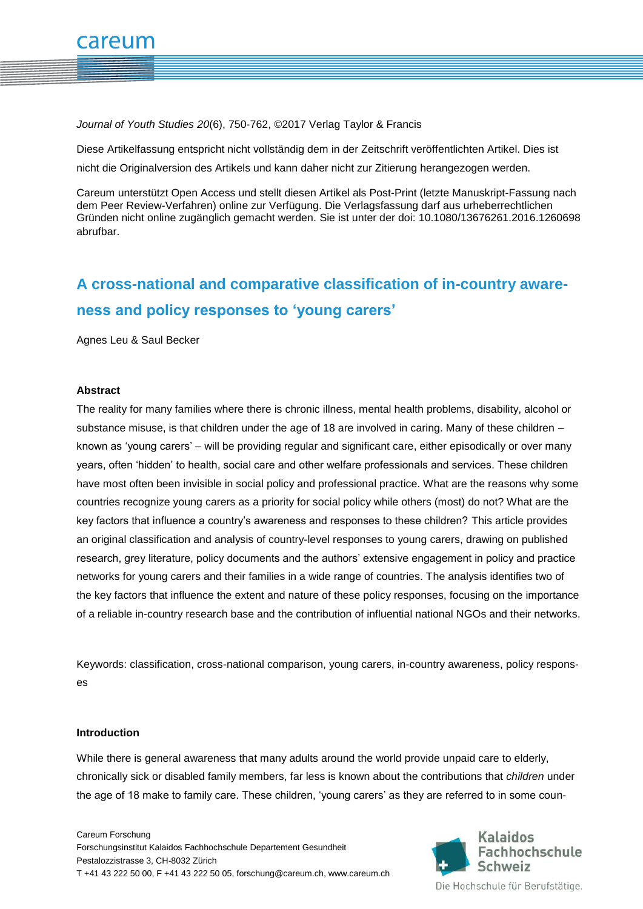*Journal of Youth Studies 20*(6), 750-762, ©2017 Verlag Taylor & Francis

Diese Artikelfassung entspricht nicht vollständig dem in der Zeitschrift veröffentlichten Artikel. Dies ist nicht die Originalversion des Artikels und kann daher nicht zur Zitierung herangezogen werden.

Careum unterstützt Open Access und stellt diesen Artikel als Post-Print (letzte Manuskript-Fassung nach dem Peer Review-Verfahren) online zur Verfügung. Die Verlagsfassung darf aus urheberrechtlichen Gründen nicht online zugänglich gemacht werden. Sie ist unter der doi: 10.1080/13676261.2016.1260698 abrufbar.

# **A cross-national and comparative classification of in-country awareness and policy responses to 'young carers'**

Agnes Leu & Saul Becker

### **Abstract**

The reality for many families where there is chronic illness, mental health problems, disability, alcohol or substance misuse, is that children under the age of 18 are involved in caring. Many of these children – known as 'young carers' – will be providing regular and significant care, either episodically or over many years, often 'hidden' to health, social care and other welfare professionals and services. These children have most often been invisible in social policy and professional practice. What are the reasons why some countries recognize young carers as a priority for social policy while others (most) do not? What are the key factors that influence a country's awareness and responses to these children? This article provides an original classification and analysis of country-level responses to young carers, drawing on published research, grey literature, policy documents and the authors' extensive engagement in policy and practice networks for young carers and their families in a wide range of countries. The analysis identifies two of the key factors that influence the extent and nature of these policy responses, focusing on the importance of a reliable in-country research base and the contribution of influential national NGOs and their networks.

Keywords: classification, cross-national comparison, young carers, in-country awareness, policy responses

#### **Introduction**

While there is general awareness that many adults around the world provide unpaid care to elderly, chronically sick or disabled family members, far less is known about the contributions that *children* under the age of 18 make to family care. These children, 'young carers' as they are referred to in some coun-



Die Hochschule für Berufstätige.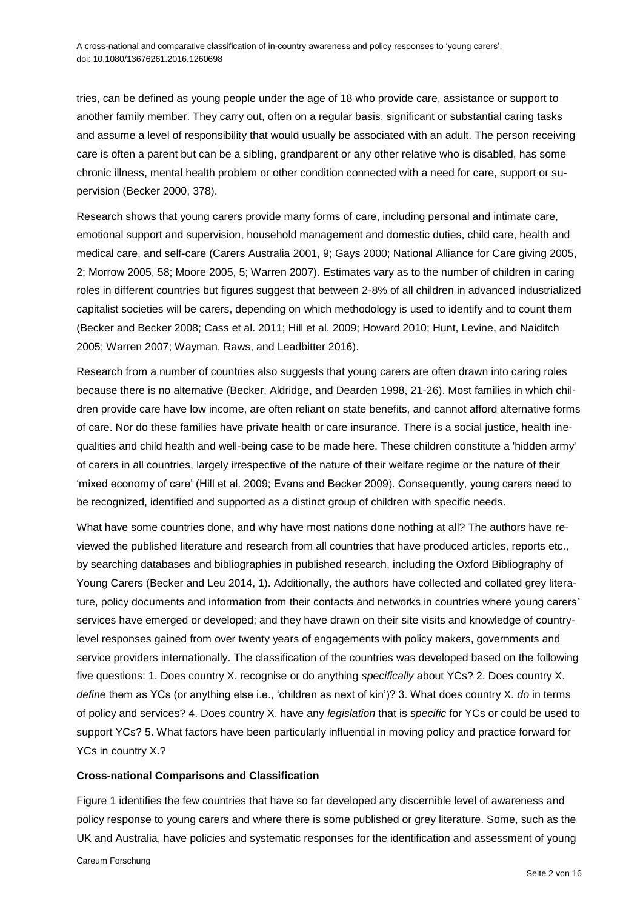tries, can be defined as young people under the age of 18 who provide care, assistance or support to another family member. They carry out, often on a regular basis, significant or substantial caring tasks and assume a level of responsibility that would usually be associated with an adult. The person receiving care is often a parent but can be a sibling, grandparent or any other relative who is disabled, has some chronic illness, mental health problem or other condition connected with a need for care, support or supervision (Becker 2000, 378).

Research shows that young carers provide many forms of care, including personal and intimate care, emotional support and supervision, household management and domestic duties, child care, health and medical care, and self-care (Carers Australia 2001, 9; Gays 2000; National Alliance for Care giving 2005, 2; Morrow 2005, 58; Moore 2005, 5; Warren 2007). Estimates vary as to the number of children in caring roles in different countries but figures suggest that between 2-8% of all children in advanced industrialized capitalist societies will be carers, depending on which methodology is used to identify and to count them (Becker and Becker 2008; Cass et al. 2011; Hill et al. 2009; Howard 2010; Hunt, Levine, and Naiditch 2005; Warren 2007; Wayman, Raws, and Leadbitter 2016).

Research from a number of countries also suggests that young carers are often drawn into caring roles because there is no alternative (Becker, Aldridge, and Dearden 1998, 21-26). Most families in which children provide care have low income, are often reliant on state benefits, and cannot afford alternative forms of care. Nor do these families have private health or care insurance. There is a social justice, health inequalities and child health and well-being case to be made here. These children constitute a 'hidden army' of carers in all countries, largely irrespective of the nature of their welfare regime or the nature of their 'mixed economy of care' (Hill et al. 2009; Evans and Becker 2009). Consequently, young carers need to be recognized, identified and supported as a distinct group of children with specific needs.

What have some countries done, and why have most nations done nothing at all? The authors have reviewed the published literature and research from all countries that have produced articles, reports etc., by searching databases and bibliographies in published research, including the Oxford Bibliography of Young Carers (Becker and Leu 2014, 1). Additionally, the authors have collected and collated grey literature, policy documents and information from their contacts and networks in countries where young carers' services have emerged or developed; and they have drawn on their site visits and knowledge of countrylevel responses gained from over twenty years of engagements with policy makers, governments and service providers internationally. The classification of the countries was developed based on the following five questions: 1. Does country X. recognise or do anything *specifically* about YCs? 2. Does country X. *define* them as YCs (or anything else i.e., 'children as next of kin')? 3. What does country X. *do* in terms of policy and services? 4. Does country X. have any *legislation* that is *specific* for YCs or could be used to support YCs? 5. What factors have been particularly influential in moving policy and practice forward for YCs in country X.?

## **Cross-national Comparisons and Classification**

Figure 1 identifies the few countries that have so far developed any discernible level of awareness and policy response to young carers and where there is some published or grey literature. Some, such as the UK and Australia, have policies and systematic responses for the identification and assessment of young

Careum Forschung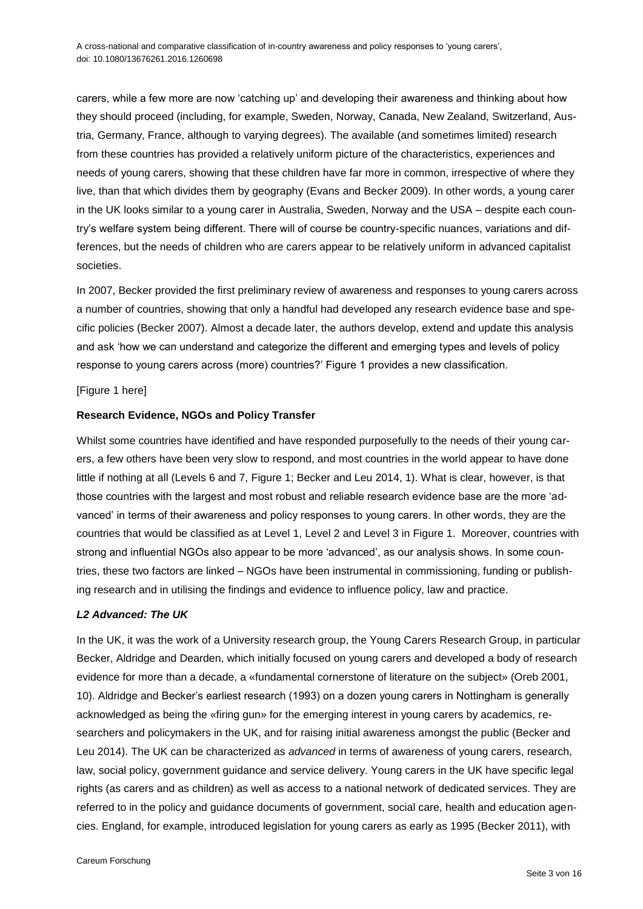carers, while a few more are now 'catching up' and developing their awareness and thinking about how they should proceed (including, for example, Sweden, Norway, Canada, New Zealand, Switzerland, Austria, Germany, France, although to varying degrees). The available (and sometimes limited) research from these countries has provided a relatively uniform picture of the characteristics, experiences and needs of young carers, showing that these children have far more in common, irrespective of where they live, than that which divides them by geography (Evans and Becker 2009). In other words, a young carer in the UK looks similar to a young carer in Australia, Sweden, Norway and the USA – despite each country's welfare system being different. There will of course be country-specific nuances, variations and differences, but the needs of children who are carers appear to be relatively uniform in advanced capitalist societies.

In 2007, Becker provided the first preliminary review of awareness and responses to young carers across a number of countries, showing that only a handful had developed any research evidence base and specific policies (Becker 2007). Almost a decade later, the authors develop, extend and update this analysis and ask 'how we can understand and categorize the different and emerging types and levels of policy response to young carers across (more) countries?' Figure 1 provides a new classification.

#### [Figure 1 here]

#### **Research Evidence, NGOs and Policy Transfer**

Whilst some countries have identified and have responded purposefully to the needs of their young carers, a few others have been very slow to respond, and most countries in the world appear to have done little if nothing at all (Levels 6 and 7, Figure 1; Becker and Leu 2014, 1). What is clear, however, is that those countries with the largest and most robust and reliable research evidence base are the more 'advanced' in terms of their awareness and policy responses to young carers. In other words, they are the countries that would be classified as at Level 1, Level 2 and Level 3 in Figure 1. Moreover, countries with strong and influential NGOs also appear to be more 'advanced', as our analysis shows. In some countries, these two factors are linked – NGOs have been instrumental in commissioning, funding or publishing research and in utilising the findings and evidence to influence policy, law and practice.

#### *L2 Advanced: The UK*

In the UK, it was the work of a University research group, the Young Carers Research Group, in particular Becker, Aldridge and Dearden, which initially focused on young carers and developed a body of research evidence for more than a decade, a «fundamental cornerstone of literature on the subject» (Oreb 2001, 10). Aldridge and Becker's earliest research (1993) on a dozen young carers in Nottingham is generally acknowledged as being the «firing gun» for the emerging interest in young carers by academics, researchers and policymakers in the UK, and for raising initial awareness amongst the public (Becker and Leu 2014). The UK can be characterized as *advanced* in terms of awareness of young carers, research, law, social policy, government guidance and service delivery. Young carers in the UK have specific legal rights (as carers and as children) as well as access to a national network of dedicated services. They are referred to in the policy and guidance documents of government, social care, health and education agencies. England, for example, introduced legislation for young carers as early as 1995 (Becker 2011), with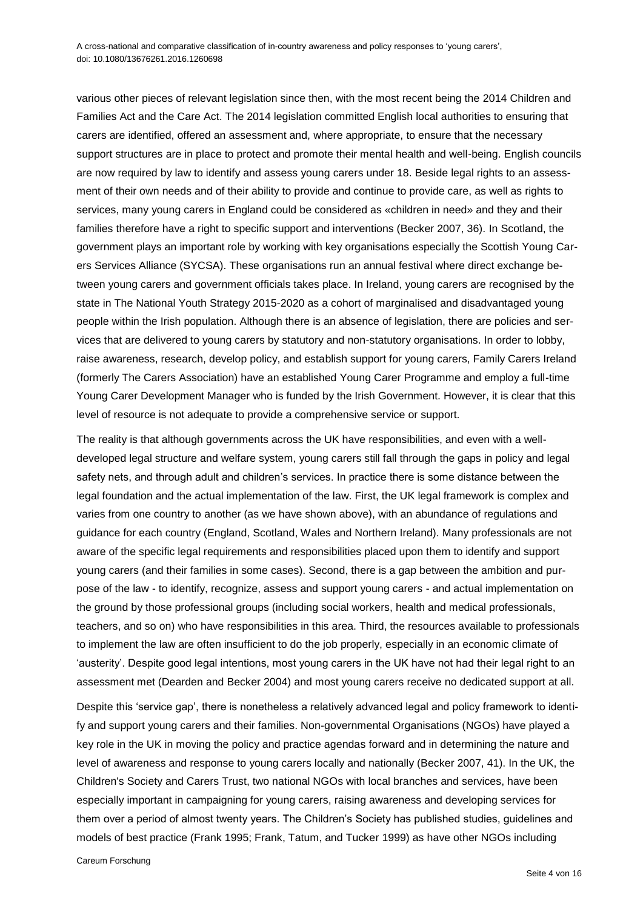various other pieces of relevant legislation since then, with the most recent being the 2014 Children and Families Act and the Care Act. The 2014 legislation committed English local authorities to ensuring that carers are identified, offered an assessment and, where appropriate, to ensure that the necessary support structures are in place to protect and promote their mental health and well-being. English councils are now required by law to identify and assess young carers under 18. Beside legal rights to an assessment of their own needs and of their ability to provide and continue to provide care, as well as rights to services, many young carers in England could be considered as «children in need» and they and their families therefore have a right to specific support and interventions (Becker 2007, 36). In Scotland, the government plays an important role by working with key organisations especially the Scottish Young Carers Services Alliance (SYCSA). These organisations run an annual festival where direct exchange between young carers and government officials takes place. In Ireland, young carers are recognised by the state in The National Youth Strategy 2015-2020 as a cohort of marginalised and disadvantaged young people within the Irish population. Although there is an absence of legislation, there are policies and services that are delivered to young carers by statutory and non-statutory organisations. In order to lobby, raise awareness, research, develop policy, and establish support for young carers, Family Carers Ireland (formerly The Carers Association) have an established Young Carer Programme and employ a full-time Young Carer Development Manager who is funded by the Irish Government. However, it is clear that this level of resource is not adequate to provide a comprehensive service or support.

The reality is that although governments across the UK have responsibilities, and even with a welldeveloped legal structure and welfare system, young carers still fall through the gaps in policy and legal safety nets, and through adult and children's services. In practice there is some distance between the legal foundation and the actual implementation of the law. First, the UK legal framework is complex and varies from one country to another (as we have shown above), with an abundance of regulations and guidance for each country (England, Scotland, Wales and Northern Ireland). Many professionals are not aware of the specific legal requirements and responsibilities placed upon them to identify and support young carers (and their families in some cases). Second, there is a gap between the ambition and purpose of the law - to identify, recognize, assess and support young carers - and actual implementation on the ground by those professional groups (including social workers, health and medical professionals, teachers, and so on) who have responsibilities in this area. Third, the resources available to professionals to implement the law are often insufficient to do the job properly, especially in an economic climate of 'austerity'. Despite good legal intentions, most young carers in the UK have not had their legal right to an assessment met (Dearden and Becker 2004) and most young carers receive no dedicated support at all.

Despite this 'service gap', there is nonetheless a relatively advanced legal and policy framework to identify and support young carers and their families. Non-governmental Organisations (NGOs) have played a key role in the UK in moving the policy and practice agendas forward and in determining the nature and level of awareness and response to young carers locally and nationally (Becker 2007, 41). In the UK, the Children's Society and Carers Trust, two national NGOs with local branches and services, have been especially important in campaigning for young carers, raising awareness and developing services for them over a period of almost twenty years. The Children's Society has published studies, guidelines and models of best practice (Frank 1995; Frank, Tatum, and Tucker 1999) as have other NGOs including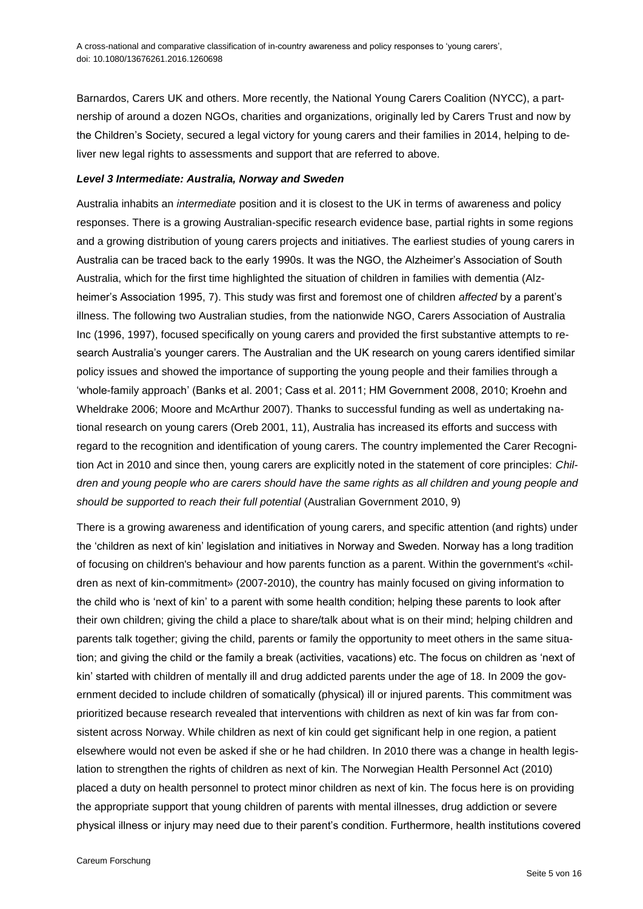Barnardos, Carers UK and others. More recently, the National Young Carers Coalition (NYCC), a partnership of around a dozen NGOs, charities and organizations, originally led by Carers Trust and now by the Children's Society, secured a legal victory for young carers and their families in 2014, helping to deliver new legal rights to assessments and support that are referred to above.

#### *Level 3 Intermediate: Australia, Norway and Sweden*

Australia inhabits an *intermediate* position and it is closest to the UK in terms of awareness and policy responses. There is a growing Australian-specific research evidence base, partial rights in some regions and a growing distribution of young carers projects and initiatives. The earliest studies of young carers in Australia can be traced back to the early 1990s. It was the NGO, the Alzheimer's Association of South Australia, which for the first time highlighted the situation of children in families with dementia (Alzheimer's Association 1995, 7). This study was first and foremost one of children *affected* by a parent's illness. The following two Australian studies, from the nationwide NGO, Carers Association of Australia Inc (1996, 1997), focused specifically on young carers and provided the first substantive attempts to research Australia's younger carers. The Australian and the UK research on young carers identified similar policy issues and showed the importance of supporting the young people and their families through a 'whole-family approach' (Banks et al. 2001; Cass et al. 2011; HM Government 2008, 2010; Kroehn and Wheldrake 2006; Moore and McArthur 2007). Thanks to successful funding as well as undertaking national research on young carers (Oreb 2001, 11), Australia has increased its efforts and success with regard to the recognition and identification of young carers. The country implemented the Carer Recognition Act in 2010 and since then, young carers are explicitly noted in the statement of core principles: *Children and young people who are carers should have the same rights as all children and young people and should be supported to reach their full potential* (Australian Government 2010, 9)

There is a growing awareness and identification of young carers, and specific attention (and rights) under the 'children as next of kin' legislation and initiatives in Norway and Sweden. Norway has a long tradition of focusing on children's behaviour and how parents function as a parent. Within the government's «children as next of kin-commitment» (2007-2010), the country has mainly focused on giving information to the child who is 'next of kin' to a parent with some health condition; helping these parents to look after their own children; giving the child a place to share/talk about what is on their mind; helping children and parents talk together; giving the child, parents or family the opportunity to meet others in the same situation; and giving the child or the family a break (activities, vacations) etc. The focus on children as 'next of kin' started with children of mentally ill and drug addicted parents under the age of 18. In 2009 the government decided to include children of somatically (physical) ill or injured parents. This commitment was prioritized because research revealed that interventions with children as next of kin was far from consistent across Norway. While children as next of kin could get significant help in one region, a patient elsewhere would not even be asked if she or he had children. In 2010 there was a change in health legislation to strengthen the rights of children as next of kin. The Norwegian Health Personnel Act (2010) placed a duty on health personnel to protect minor children as next of kin. The focus here is on providing the appropriate support that young children of parents with mental illnesses, drug addiction or severe physical illness or injury may need due to their parent's condition. Furthermore, health institutions covered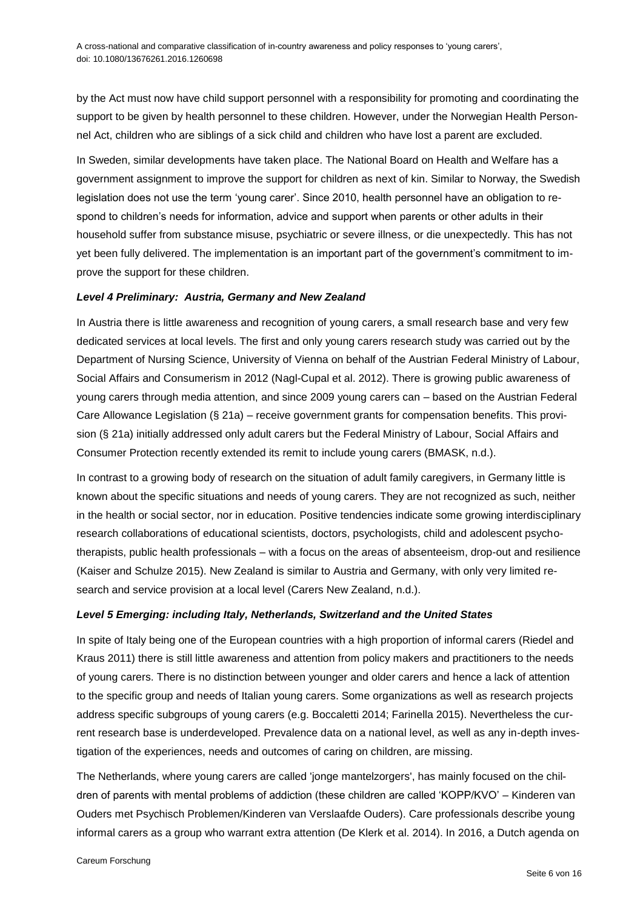by the Act must now have child support personnel with a responsibility for promoting and coordinating the support to be given by health personnel to these children. However, under the Norwegian Health Personnel Act, children who are siblings of a sick child and children who have lost a parent are excluded.

In Sweden, similar developments have taken place. The National Board on Health and Welfare has a government assignment to improve the support for children as next of kin. Similar to Norway, the Swedish legislation does not use the term 'young carer'. Since 2010, health personnel have an obligation to respond to children's needs for information, advice and support when parents or other adults in their household suffer from substance misuse, psychiatric or severe illness, or die unexpectedly. This has not yet been fully delivered. The implementation is an important part of the government's commitment to improve the support for these children.

## *Level 4 Preliminary: Austria, Germany and New Zealand*

In Austria there is little awareness and recognition of young carers, a small research base and very few dedicated services at local levels. The first and only young carers research study was carried out by the Department of Nursing Science, University of Vienna on behalf of the Austrian Federal Ministry of Labour, Social Affairs and Consumerism in 2012 (Nagl-Cupal et al. 2012). There is growing public awareness of young carers through media attention, and since 2009 young carers can – based on the Austrian Federal Care Allowance Legislation (§ 21a) – receive government grants for compensation benefits. This provision (§ 21a) initially addressed only adult carers but the Federal Ministry of Labour, Social Affairs and Consumer Protection recently extended its remit to include young carers (BMASK, n.d.).

In contrast to a growing body of research on the situation of adult family caregivers, in Germany little is known about the specific situations and needs of young carers. They are not recognized as such, neither in the health or social sector, nor in education. Positive tendencies indicate some growing interdisciplinary research collaborations of educational scientists, doctors, psychologists, child and adolescent psychotherapists, public health professionals – with a focus on the areas of absenteeism, drop-out and resilience (Kaiser and Schulze 2015). New Zealand is similar to Austria and Germany, with only very limited research and service provision at a local level (Carers New Zealand, n.d.).

## *Level 5 Emerging: including Italy, Netherlands, Switzerland and the United States*

In spite of Italy being one of the European countries with a high proportion of informal carers (Riedel and Kraus 2011) there is still little awareness and attention from policy makers and practitioners to the needs of young carers. There is no distinction between younger and older carers and hence a lack of attention to the specific group and needs of Italian young carers. Some organizations as well as research projects address specific subgroups of young carers (e.g. Boccaletti 2014; Farinella 2015). Nevertheless the current research base is underdeveloped. Prevalence data on a national level, as well as any in-depth investigation of the experiences, needs and outcomes of caring on children, are missing.

The Netherlands, where young carers are called 'jonge mantelzorgers', has mainly focused on the children of parents with mental problems of addiction (these children are called 'KOPP/KVO' – Kinderen van Ouders met Psychisch Problemen/Kinderen van Verslaafde Ouders). Care professionals describe young informal carers as a group who warrant extra attention (De Klerk et al. 2014). In 2016, a Dutch agenda on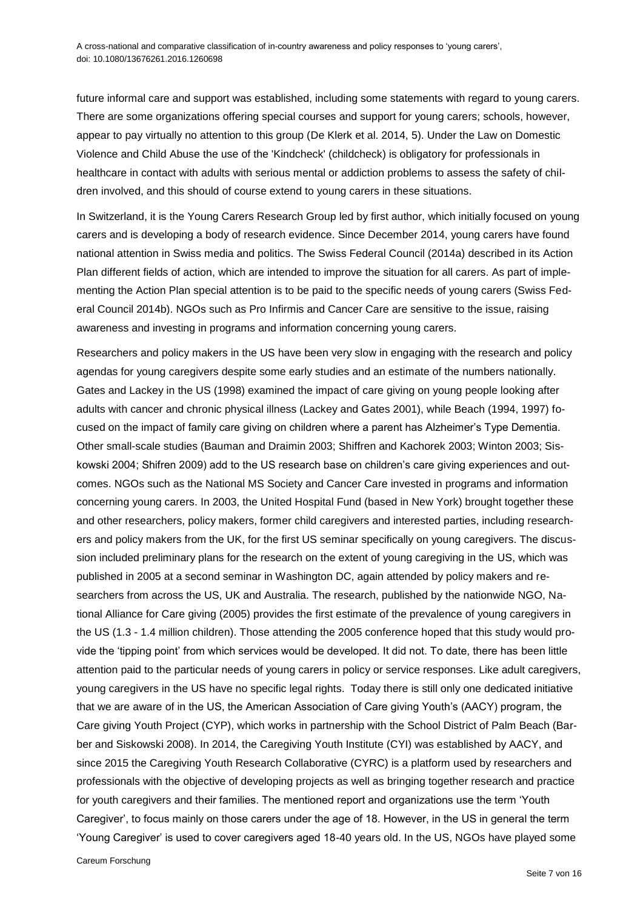future informal care and support was established, including some statements with regard to young carers. There are some organizations offering special courses and support for young carers; schools, however, appear to pay virtually no attention to this group (De Klerk et al. 2014, 5). Under the Law on Domestic Violence and Child Abuse the use of the 'Kindcheck' (childcheck) is obligatory for professionals in healthcare in contact with adults with serious mental or addiction problems to assess the safety of children involved, and this should of course extend to young carers in these situations.

In Switzerland, it is the Young Carers Research Group led by first author, which initially focused on young carers and is developing a body of research evidence. Since December 2014, young carers have found national attention in Swiss media and politics. The Swiss Federal Council (2014a) described in its Action Plan different fields of action, which are intended to improve the situation for all carers. As part of implementing the Action Plan special attention is to be paid to the specific needs of young carers (Swiss Federal Council 2014b). NGOs such as Pro Infirmis and Cancer Care are sensitive to the issue, raising awareness and investing in programs and information concerning young carers.

Researchers and policy makers in the US have been very slow in engaging with the research and policy agendas for young caregivers despite some early studies and an estimate of the numbers nationally. Gates and Lackey in the US (1998) examined the impact of care giving on young people looking after adults with cancer and chronic physical illness (Lackey and Gates 2001), while Beach (1994, 1997) focused on the impact of family care giving on children where a parent has Alzheimer's Type Dementia. Other small-scale studies (Bauman and Draimin 2003; Shiffren and Kachorek 2003; Winton 2003; Siskowski 2004; Shifren 2009) add to the US research base on children's care giving experiences and outcomes. NGOs such as the National MS Society and Cancer Care invested in programs and information concerning young carers. In 2003, the United Hospital Fund (based in New York) brought together these and other researchers, policy makers, former child caregivers and interested parties, including researchers and policy makers from the UK, for the first US seminar specifically on young caregivers. The discussion included preliminary plans for the research on the extent of young caregiving in the US, which was published in 2005 at a second seminar in Washington DC, again attended by policy makers and researchers from across the US, UK and Australia. The research, published by the nationwide NGO, National Alliance for Care giving (2005) provides the first estimate of the prevalence of young caregivers in the US (1.3 - 1.4 million children). Those attending the 2005 conference hoped that this study would provide the 'tipping point' from which services would be developed. It did not. To date, there has been little attention paid to the particular needs of young carers in policy or service responses. Like adult caregivers, young caregivers in the US have no specific legal rights. Today there is still only one dedicated initiative that we are aware of in the US, the American Association of Care giving Youth's (AACY) program, the Care giving Youth Project (CYP), which works in partnership with the School District of Palm Beach (Barber and Siskowski 2008). In 2014, the Caregiving Youth Institute (CYI) was established by AACY, and since 2015 the Caregiving Youth Research Collaborative (CYRC) is a platform used by researchers and professionals with the objective of developing projects as well as bringing together research and practice for youth caregivers and their families. The mentioned report and organizations use the term 'Youth Caregiver', to focus mainly on those carers under the age of 18. However, in the US in general the term 'Young Caregiver' is used to cover caregivers aged 18-40 years old. In the US, NGOs have played some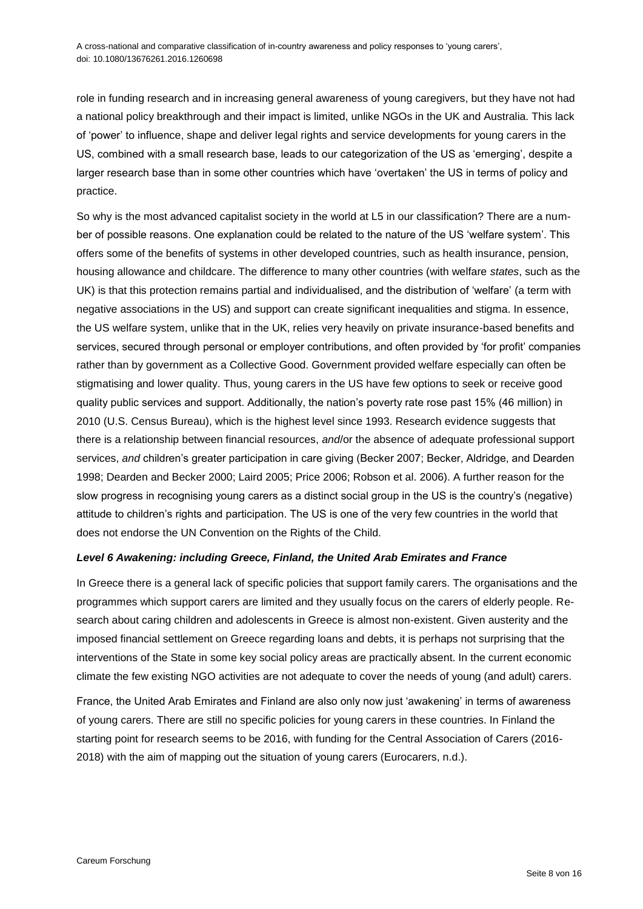role in funding research and in increasing general awareness of young caregivers, but they have not had a national policy breakthrough and their impact is limited, unlike NGOs in the UK and Australia. This lack of 'power' to influence, shape and deliver legal rights and service developments for young carers in the US, combined with a small research base, leads to our categorization of the US as 'emerging', despite a larger research base than in some other countries which have 'overtaken' the US in terms of policy and practice.

So why is the most advanced capitalist society in the world at L5 in our classification? There are a number of possible reasons. One explanation could be related to the nature of the US 'welfare system'. This offers some of the benefits of systems in other developed countries, such as health insurance, pension, housing allowance and childcare. The difference to many other countries (with welfare *states*, such as the UK) is that this protection remains partial and individualised, and the distribution of 'welfare' (a term with negative associations in the US) and support can create significant inequalities and stigma. In essence, the US welfare system, unlike that in the UK, relies very heavily on private insurance-based benefits and services, secured through personal or employer contributions, and often provided by 'for profit' companies rather than by government as a Collective Good. Government provided welfare especially can often be stigmatising and lower quality. Thus, young carers in the US have few options to seek or receive good quality public services and support. Additionally, the nation's poverty rate rose past 15% (46 million) in 2010 (U.S. Census Bureau), which is the highest level since 1993. Research evidence suggests that there is a relationship between financial resources, *and*/or the absence of adequate professional support services, *and* children's greater participation in care giving (Becker 2007; Becker, Aldridge, and Dearden 1998; Dearden and Becker 2000; Laird 2005; Price 2006; Robson et al. 2006). A further reason for the slow progress in recognising young carers as a distinct social group in the US is the country's (negative) attitude to children's rights and participation. The US is one of the very few countries in the world that does not endorse the UN Convention on the Rights of the Child.

## *Level 6 Awakening: including Greece, Finland, the United Arab Emirates and France*

In Greece there is a general lack of specific policies that support family carers. The organisations and the programmes which support carers are limited and they usually focus on the carers of elderly people. Research about caring children and adolescents in Greece is almost non-existent. Given austerity and the imposed financial settlement on Greece regarding loans and debts, it is perhaps not surprising that the interventions of the State in some key social policy areas are practically absent. In the current economic climate the few existing NGO activities are not adequate to cover the needs of young (and adult) carers.

France, the United Arab Emirates and Finland are also only now just 'awakening' in terms of awareness of young carers. There are still no specific policies for young carers in these countries. In Finland the starting point for research seems to be 2016, with funding for the Central Association of Carers (2016- 2018) with the aim of mapping out the situation of young carers (Eurocarers, n.d.).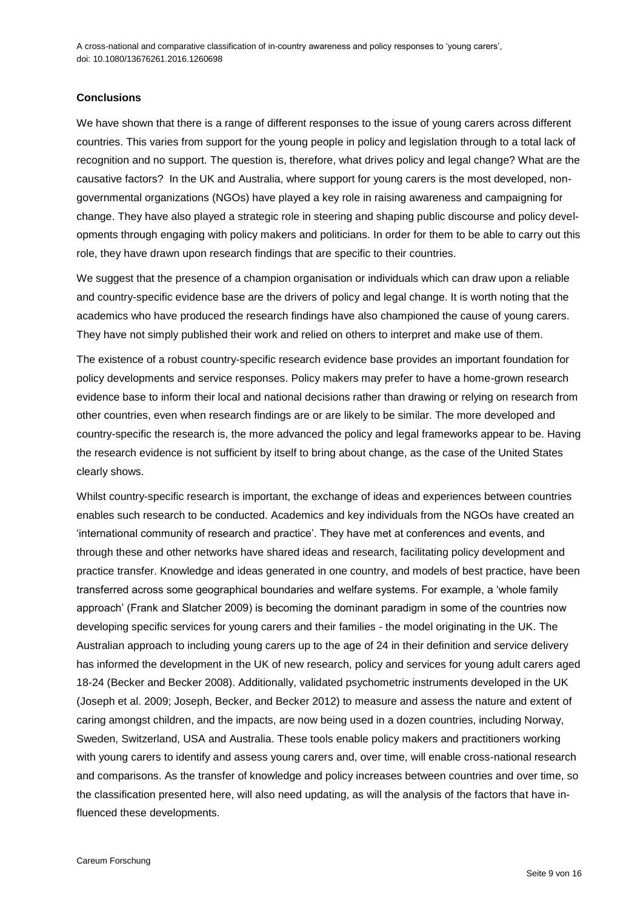### **Conclusions**

We have shown that there is a range of different responses to the issue of young carers across different countries. This varies from support for the young people in policy and legislation through to a total lack of recognition and no support. The question is, therefore, what drives policy and legal change? What are the causative factors? In the UK and Australia, where support for young carers is the most developed, nongovernmental organizations (NGOs) have played a key role in raising awareness and campaigning for change. They have also played a strategic role in steering and shaping public discourse and policy developments through engaging with policy makers and politicians. In order for them to be able to carry out this role, they have drawn upon research findings that are specific to their countries.

We suggest that the presence of a champion organisation or individuals which can draw upon a reliable and country-specific evidence base are the drivers of policy and legal change. It is worth noting that the academics who have produced the research findings have also championed the cause of young carers. They have not simply published their work and relied on others to interpret and make use of them.

The existence of a robust country-specific research evidence base provides an important foundation for policy developments and service responses. Policy makers may prefer to have a home-grown research evidence base to inform their local and national decisions rather than drawing or relying on research from other countries, even when research findings are or are likely to be similar. The more developed and country-specific the research is, the more advanced the policy and legal frameworks appear to be. Having the research evidence is not sufficient by itself to bring about change, as the case of the United States clearly shows.

Whilst country-specific research is important, the exchange of ideas and experiences between countries enables such research to be conducted. Academics and key individuals from the NGOs have created an 'international community of research and practice'. They have met at conferences and events, and through these and other networks have shared ideas and research, facilitating policy development and practice transfer. Knowledge and ideas generated in one country, and models of best practice, have been transferred across some geographical boundaries and welfare systems. For example, a 'whole family approach' (Frank and Slatcher 2009) is becoming the dominant paradigm in some of the countries now developing specific services for young carers and their families - the model originating in the UK. The Australian approach to including young carers up to the age of 24 in their definition and service delivery has informed the development in the UK of new research, policy and services for young adult carers aged 18-24 (Becker and Becker 2008). Additionally, validated psychometric instruments developed in the UK (Joseph et al. 2009; Joseph, Becker, and Becker 2012) to measure and assess the nature and extent of caring amongst children, and the impacts, are now being used in a dozen countries, including Norway, Sweden, Switzerland, USA and Australia. These tools enable policy makers and practitioners working with young carers to identify and assess young carers and, over time, will enable cross-national research and comparisons. As the transfer of knowledge and policy increases between countries and over time, so the classification presented here, will also need updating, as will the analysis of the factors that have influenced these developments.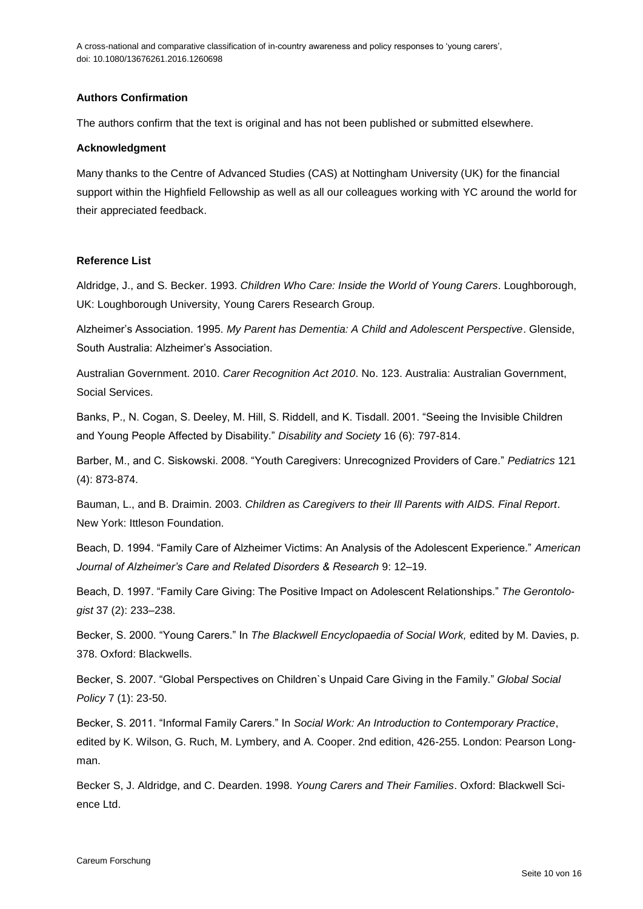## **Authors Confirmation**

The authors confirm that the text is original and has not been published or submitted elsewhere.

#### **Acknowledgment**

Many thanks to the Centre of Advanced Studies (CAS) at Nottingham University (UK) for the financial support within the Highfield Fellowship as well as all our colleagues working with YC around the world for their appreciated feedback.

### **Reference List**

Aldridge, J., and S. Becker. 1993. *Children Who Care: Inside the World of Young Carers*. Loughborough, UK: Loughborough University, Young Carers Research Group.

Alzheimer's Association. 1995. *My Parent has Dementia: A Child and Adolescent Perspective*. Glenside, South Australia: Alzheimer's Association.

Australian Government. 2010. *Carer Recognition Act 2010*. No. 123. Australia: Australian Government, Social Services.

Banks, P., N. Cogan, S. Deeley, M. Hill, S. Riddell, and K. Tisdall. 2001. "Seeing the Invisible Children and Young People Affected by Disability." *Disability and Society* 16 (6): 797-814.

Barber, M., and C. Siskowski. 2008. "Youth Caregivers: Unrecognized Providers of Care." *Pediatrics* 121 (4): 873-874.

Bauman, L., and B. Draimin. 2003. *Children as Caregivers to their Ill Parents with AIDS. Final Report*. New York: Ittleson Foundation.

Beach, D. 1994. "Family Care of Alzheimer Victims: An Analysis of the Adolescent Experience." *American Journal of Alzheimer's Care and Related Disorders & Research* 9: 12–19.

Beach, D. 1997. "Family Care Giving: The Positive Impact on Adolescent Relationships." *The Gerontologist* 37 (2): 233–238.

Becker, S. 2000. "Young Carers." In *The Blackwell Encyclopaedia of Social Work,* edited by M. Davies, p. 378. Oxford: Blackwells.

Becker, S. 2007. "Global Perspectives on Children`s Unpaid Care Giving in the Family." *Global Social Policy* 7 (1): 23-50.

Becker, S. 2011. "Informal Family Carers." In *Social Work: An Introduction to Contemporary Practice*, edited by K. Wilson, G. Ruch, M. Lymbery, and A. Cooper. 2nd edition, 426-255. London: Pearson Longman.

Becker S, J. Aldridge, and C. Dearden. 1998. *Young Carers and Their Families*. Oxford: Blackwell Science Ltd.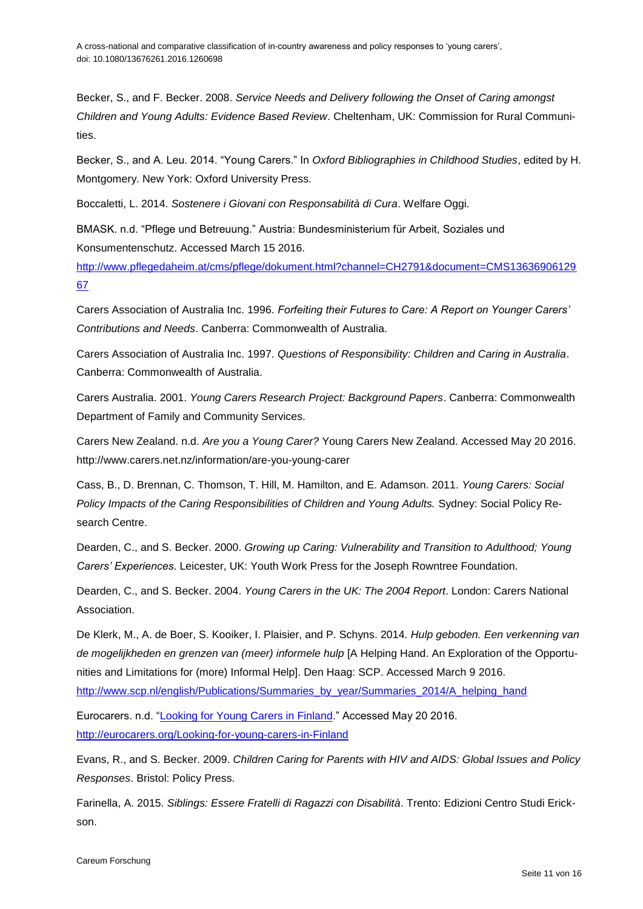Becker, S., and F. Becker. 2008. *Service Needs and Delivery following the Onset of Caring amongst Children and Young Adults: Evidence Based Review*. Cheltenham, UK: Commission for Rural Communities.

Becker, S., and A. Leu. 2014. "Young Carers." In *Oxford Bibliographies in Childhood Studies*, edited by H. Montgomery. New York: Oxford University Press.

Boccaletti, L. 2014. *Sostenere i Giovani con Responsabilità di Cura*. Welfare Oggi.

BMASK. n.d. "Pflege und Betreuung." Austria: Bundesministerium für Arbeit, Soziales und Konsumentenschutz. Accessed March 15 2016.

[http://www.pflegedaheim.at/cms/pflege/dokument.html?channel=CH2791&document=CMS13636906129](http://www.pflegedaheim.at/cms/pflege/dokument.html?channel=CH2791&document=CMS1363690612967) [67](http://www.pflegedaheim.at/cms/pflege/dokument.html?channel=CH2791&document=CMS1363690612967)

Carers Association of Australia Inc. 1996. *Forfeiting their Futures to Care: A Report on Younger Carers' Contributions and Needs*. Canberra: Commonwealth of Australia.

Carers Association of Australia Inc. 1997. *Questions of Responsibility: Children and Caring in Australia*. Canberra: Commonwealth of Australia.

Carers Australia. 2001. *Young Carers Research Project: Background Papers*. Canberra: Commonwealth Department of Family and Community Services.

Carers New Zealand. n.d. *Are you a Young Carer?* Young Carers New Zealand. Accessed May 20 2016. http://www.carers.net.nz/information/are-you-young-carer

Cass, B., D. Brennan, C. Thomson, T. Hill, M. Hamilton, and E. Adamson. 2011. *Young Carers: Social Policy Impacts of the Caring Responsibilities of Children and Young Adults.* Sydney: Social Policy Research Centre.

Dearden, C., and S. Becker. 2000. *Growing up Caring: Vulnerability and Transition to Adulthood; Young Carers' Experiences*. Leicester, UK: Youth Work Press for the Joseph Rowntree Foundation.

Dearden, C., and S. Becker. 2004. *Young Carers in the UK: The 2004 Report*. London: Carers National Association.

De Klerk, M., A. de Boer, S. Kooiker, I. Plaisier, and P. Schyns. 2014. *Hulp geboden. Een verkenning van de mogelijkheden en grenzen van (meer) informele hulp* [A Helping Hand. An Exploration of the Opportunities and Limitations for (more) Informal Help]. Den Haag: SCP. Accessed March 9 2016. [http://www.scp.nl/english/Publications/Summaries\\_by\\_year/Summaries\\_2014/A\\_helping\\_hand](http://www.scp.nl/english/Publications/Summaries_by_year/Summaries_2014/A_helping_hand)

Eurocarers. n.d. ["Looking for Young Carers in Finland.](Looking%20for%20Young%20Carers%20in%20Finland)" Accessed May 20 2016. <http://eurocarers.org/Looking-for-young-carers-in-Finland>

Evans, R., and S. Becker. 2009. *Children Caring for Parents with HIV and AIDS: Global Issues and Policy Responses*. Bristol: Policy Press.

Farinella, A. 2015. *Siblings: Essere Fratelli di Ragazzi con Disabilità*. Trento: Edizioni Centro Studi Erickson.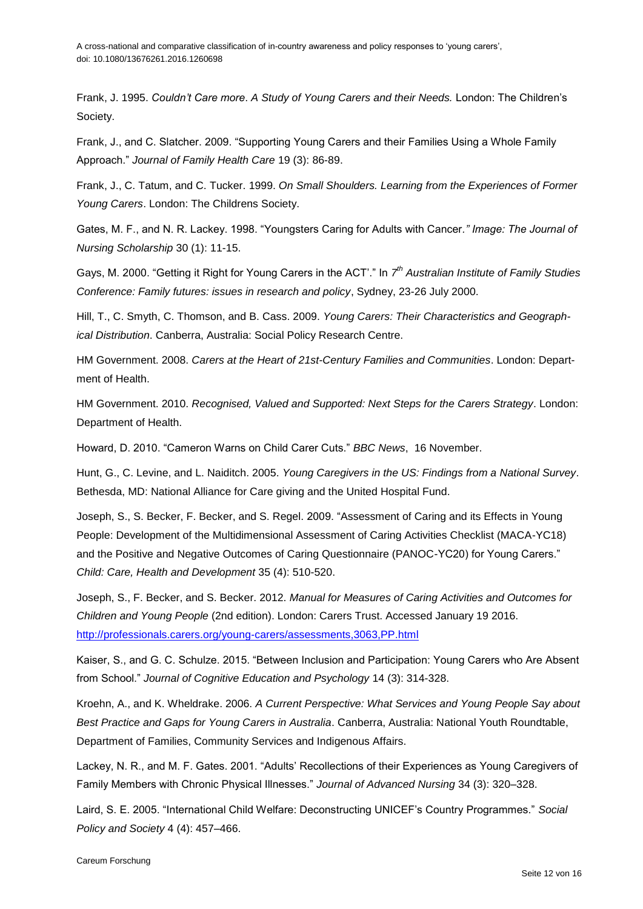Frank, J. 1995. *Couldn't Care more*. *A Study of Young Carers and their Needs.* London: The Children's Society.

Frank, J., and C. Slatcher. 2009. "Supporting Young Carers and their Families Using a Whole Family Approach." *Journal of Family Health Care* 19 (3): 86-89.

Frank, J., C. Tatum, and C. Tucker. 1999. *On Small Shoulders. Learning from the Experiences of Former Young Carers*. London: The Childrens Society.

Gates, M. F., and N. R. Lackey. 1998. "Youngsters Caring for Adults with Cancer*." Image: The Journal of Nursing Scholarship* 30 (1): 11-15.

Gays, M. 2000. "Getting it Right for Young Carers in the ACT'." In *7 th Australian Institute of Family Studies Conference: Family futures: issues in research and policy*, Sydney, 23-26 July 2000.

Hill, T., C. Smyth, C. Thomson, and B. Cass. 2009. *Young Carers: Their Characteristics and Geographical Distribution*. Canberra, Australia: Social Policy Research Centre.

HM Government. 2008. *Carers at the Heart of 21st-Century Families and Communities*. London: Department of Health.

HM Government. 2010. *Recognised, Valued and Supported: Next Steps for the Carers Strategy*. London: Department of Health.

Howard, D. 2010. "Cameron Warns on Child Carer Cuts." *BBC News*, 16 November.

Hunt, G., C. Levine, and L. Naiditch. 2005. *Young Caregivers in the US: Findings from a National Survey*. Bethesda, MD: National Alliance for Care giving and the United Hospital Fund.

Joseph, S., S. Becker, F. Becker, and S. Regel. 2009. "Assessment of Caring and its Effects in Young People: Development of the Multidimensional Assessment of Caring Activities Checklist (MACA-YC18) and the Positive and Negative Outcomes of Caring Questionnaire (PANOC-YC20) for Young Carers." *Child: Care, Health and Development* 35 (4): 510-520.

Joseph, S., F. Becker, and S. Becker. 2012. *Manual for Measures of Caring Activities and Outcomes for Children and Young People* (2nd edition). London: Carers Trust. Accessed January 19 2016. <http://professionals.carers.org/young-carers/assessments,3063,PP.html>

Kaiser, S., and G. C. Schulze. 2015. "Between Inclusion and Participation: Young Carers who Are Absent from School." *Journal of Cognitive Education and Psychology* 14 (3): 314-328.

Kroehn, A., and K. Wheldrake. 2006. *A Current Perspective: What Services and Young People Say about Best Practice and Gaps for Young Carers in Australia*. Canberra, Australia: National Youth Roundtable, Department of Families, Community Services and Indigenous Affairs.

Lackey, N. R., and M. F. Gates. 2001. "Adults' Recollections of their Experiences as Young Caregivers of Family Members with Chronic Physical Illnesses." *Journal of Advanced Nursing* 34 (3): 320–328.

Laird, S. E. 2005. "International Child Welfare: Deconstructing UNICEF's Country Programmes." *Social Policy and Society* 4 (4): 457–466.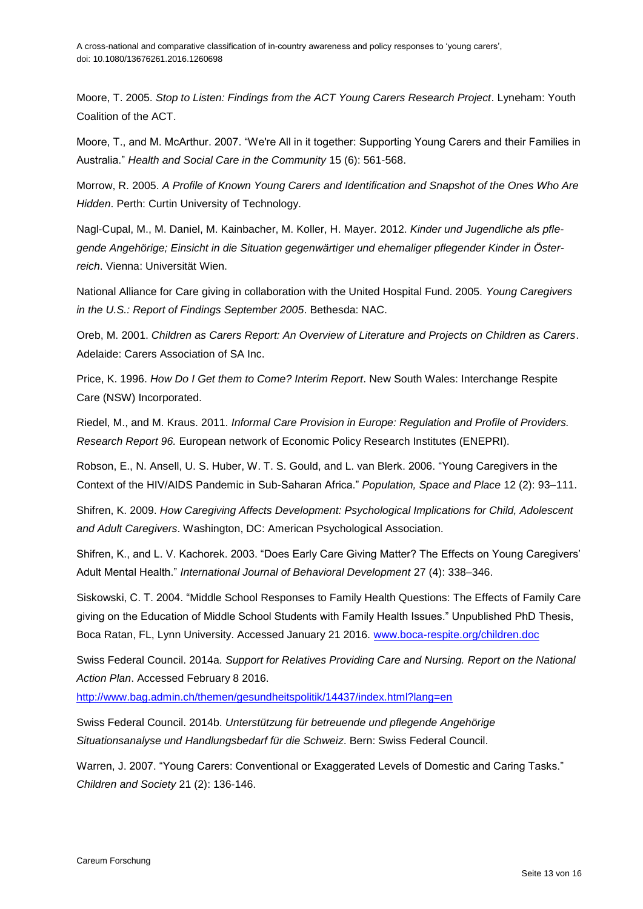Moore, T. 2005. *Stop to Listen: Findings from the ACT Young Carers Research Project*. Lyneham: Youth Coalition of the ACT.

Moore, T., and M. McArthur. 2007. "We're All in it together: Supporting Young Carers and their Families in Australia." *Health and Social Care in the Community* 15 (6): 561-568.

Morrow, R. 2005. *A Profile of Known Young Carers and Identification and Snapshot of the Ones Who Are Hidden*. Perth: Curtin University of Technology.

Nagl-Cupal, M., M. Daniel, M. Kainbacher, M. Koller, H. Mayer. 2012. *Kinder und Jugendliche als pflegende Angehörige; Einsicht in die Situation gegenwärtiger und ehemaliger pflegender Kinder in Österreich*. Vienna: Universität Wien.

National Alliance for Care giving in collaboration with the United Hospital Fund. 2005. *Young Caregivers in the U.S.: Report of Findings September 2005*. Bethesda: NAC.

Oreb, M. 2001. *Children as Carers Report: An Overview of Literature and Projects on Children as Carers*. Adelaide: Carers Association of SA Inc.

Price, K. 1996. *How Do I Get them to Come? Interim Report*. New South Wales: Interchange Respite Care (NSW) Incorporated.

Riedel, M., and M. Kraus. 2011. *Informal Care Provision in Europe: Regulation and Profile of Providers. Research Report 96.* European network of Economic Policy Research Institutes (ENEPRI).

Robson, E., N. Ansell, U. S. Huber, W. T. S. Gould, and L. van Blerk. 2006. "Young Caregivers in the Context of the HIV/AIDS Pandemic in Sub-Saharan Africa." *Population, Space and Place* 12 (2): 93–111.

Shifren, K. 2009. *How Caregiving Affects Development: Psychological Implications for Child, Adolescent and Adult Caregivers*. Washington, DC: American Psychological Association.

Shifren, K., and L. V. Kachorek. 2003. "Does Early Care Giving Matter? The Effects on Young Caregivers' Adult Mental Health." *International Journal of Behavioral Development* 27 (4): 338–346.

Siskowski, C. T. 2004. "Middle School Responses to Family Health Questions: The Effects of Family Care giving on the Education of Middle School Students with Family Health Issues." Unpublished PhD Thesis, Boca Ratan, FL, Lynn University. Accessed January 21 2016. [www.boca-respite.org/children.doc](http://www.boca-respite.org/children.doc)

Swiss Federal Council. 2014a. *Support for Relatives Providing Care and Nursing. Report on the National Action Plan*. Accessed February 8 2016.

<http://www.bag.admin.ch/themen/gesundheitspolitik/14437/index.html?lang=en>

Swiss Federal Council. 2014b. *Unterstützung für betreuende und pflegende Angehörige Situationsanalyse und Handlungsbedarf für die Schweiz*. Bern: Swiss Federal Council.

Warren, J. 2007. "Young Carers: Conventional or Exaggerated Levels of Domestic and Caring Tasks." *Children and Society* 21 (2): 136-146.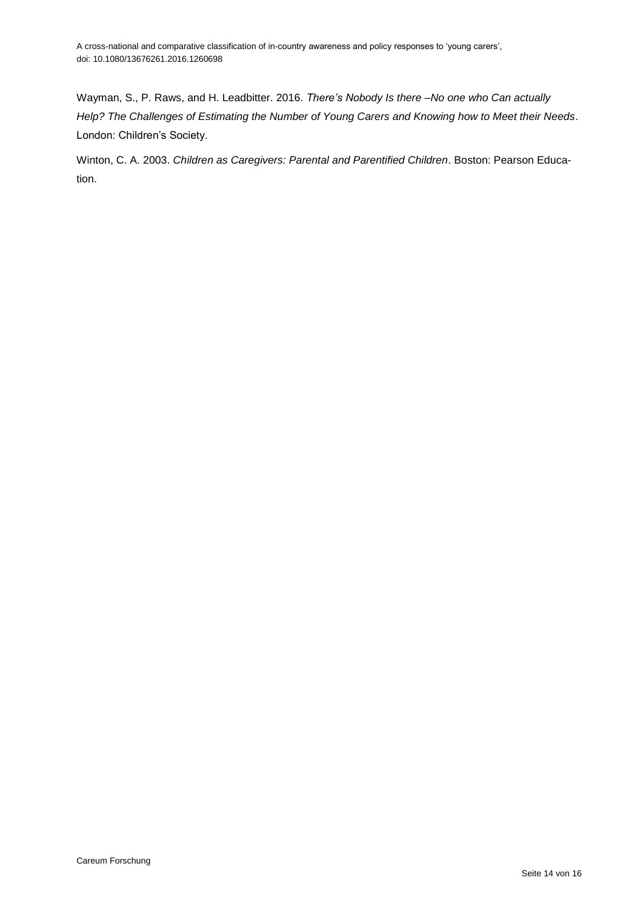Wayman, S., P. Raws, and H. Leadbitter. 2016. *There's Nobody Is there –No one who Can actually Help? The Challenges of Estimating the Number of Young Carers and Knowing how to Meet their Needs*. London: Children's Society.

Winton, C. A. 2003. *Children as Caregivers: Parental and Parentified Children*. Boston: Pearson Education.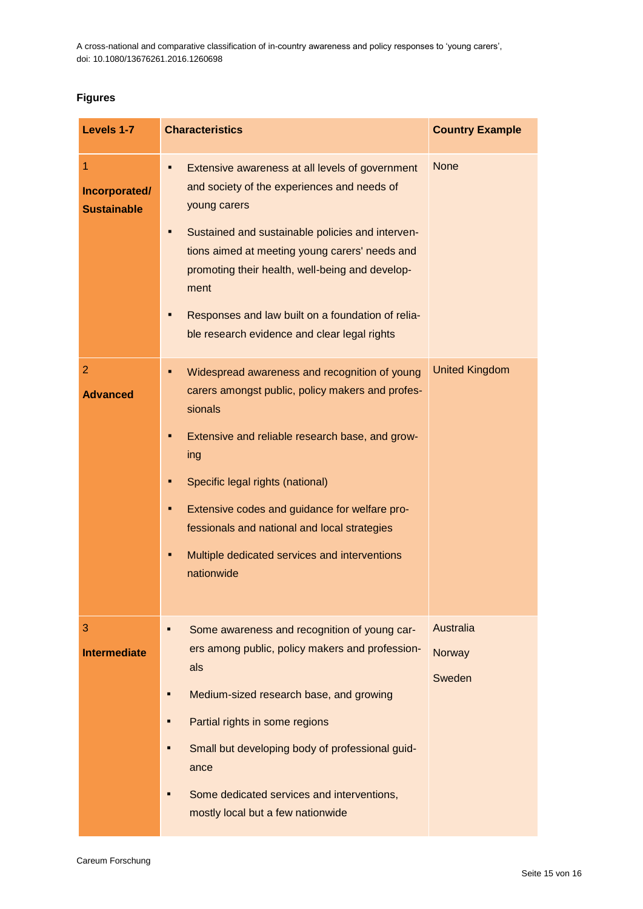## **Figures**

| Levels 1-7                               | <b>Characteristics</b>                                                                                                                                                                                                                                                                                                                                                                         | <b>Country Example</b>        |
|------------------------------------------|------------------------------------------------------------------------------------------------------------------------------------------------------------------------------------------------------------------------------------------------------------------------------------------------------------------------------------------------------------------------------------------------|-------------------------------|
| 1<br>Incorporated/<br><b>Sustainable</b> | Extensive awareness at all levels of government<br>and society of the experiences and needs of<br>young carers<br>Sustained and sustainable policies and interven-<br>tions aimed at meeting young carers' needs and<br>promoting their health, well-being and develop-<br>ment<br>Responses and law built on a foundation of relia-<br>ble research evidence and clear legal rights           | <b>None</b>                   |
| $\overline{2}$<br><b>Advanced</b>        | Widespread awareness and recognition of young<br>٠<br>carers amongst public, policy makers and profes-<br>sionals<br>Extensive and reliable research base, and grow-<br>п<br>ing<br>Specific legal rights (national)<br>п<br>Extensive codes and guidance for welfare pro-<br>Ξ<br>fessionals and national and local strategies<br>Multiple dedicated services and interventions<br>nationwide | <b>United Kingdom</b>         |
| 3<br><b>Intermediate</b>                 | Some awareness and recognition of young car-<br>ers among public, policy makers and profession-<br>als<br>Medium-sized research base, and growing<br>Partial rights in some regions<br>Small but developing body of professional guid-<br>ance<br>Some dedicated services and interventions,<br>mostly local but a few nationwide                                                              | Australia<br>Norway<br>Sweden |